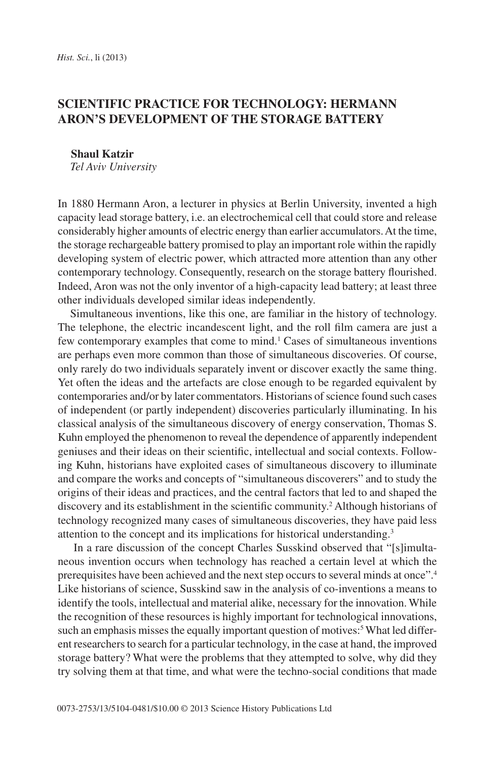# **Scientific practice for technology: Hermann Aron's development of the storage battery**

# **Shaul Katzir**

*Tel Aviv University* 

In 1880 Hermann Aron, a lecturer in physics at Berlin University, invented a high capacity lead storage battery, i.e. an electrochemical cell that could store and release considerably higher amounts of electric energy than earlier accumulators. At the time, the storage rechargeable battery promised to play an important role within the rapidly developing system of electric power, which attracted more attention than any other contemporary technology. Consequently, research on the storage battery flourished. Indeed, Aron was not the only inventor of a high-capacity lead battery; at least three other individuals developed similar ideas independently.

Simultaneous inventions, like this one, are familiar in the history of technology. The telephone, the electric incandescent light, and the roll film camera are just a few contemporary examples that come to mind.<sup>1</sup> Cases of simultaneous inventions are perhaps even more common than those of simultaneous discoveries. Of course, only rarely do two individuals separately invent or discover exactly the same thing. Yet often the ideas and the artefacts are close enough to be regarded equivalent by contemporaries and/or by later commentators. Historians of science found such cases of independent (or partly independent) discoveries particularly illuminating. In his classical analysis of the simultaneous discovery of energy conservation, Thomas S. Kuhn employed the phenomenon to reveal the dependence of apparently independent geniuses and their ideas on their scientific, intellectual and social contexts. Following Kuhn, historians have exploited cases of simultaneous discovery to illuminate and compare the works and concepts of "simultaneous discoverers" and to study the origins of their ideas and practices, and the central factors that led to and shaped the discovery and its establishment in the scientific community.<sup>2</sup> Although historians of technology recognized many cases of simultaneous discoveries, they have paid less attention to the concept and its implications for historical understanding.3

 In a rare discussion of the concept Charles Susskind observed that "[s]imultaneous invention occurs when technology has reached a certain level at which the prerequisites have been achieved and the next step occurs to several minds at once".4 Like historians of science, Susskind saw in the analysis of co-inventions a means to identify the tools, intellectual and material alike, necessary for the innovation. While the recognition of these resources is highly important for technological innovations, such an emphasis misses the equally important question of motives:<sup>5</sup> What led different researchers to search for a particular technology, in the case at hand, the improved storage battery? What were the problems that they attempted to solve, why did they try solving them at that time, and what were the techno-social conditions that made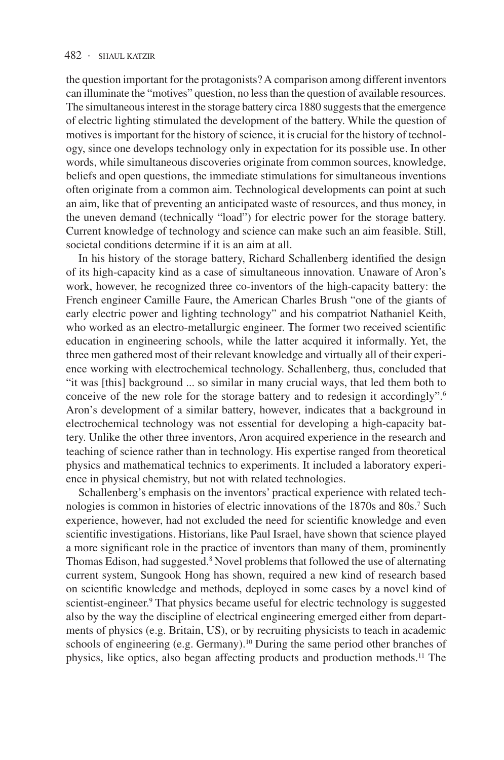the question important for the protagonists? A comparison among different inventors can illuminate the "motives" question, no less than the question of available resources. The simultaneous interest in the storage battery circa 1880 suggests that the emergence of electric lighting stimulated the development of the battery. While the question of motives is important for the history of science, it is crucial for the history of technology, since one develops technology only in expectation for its possible use. In other words, while simultaneous discoveries originate from common sources, knowledge, beliefs and open questions, the immediate stimulations for simultaneous inventions often originate from a common aim. Technological developments can point at such an aim, like that of preventing an anticipated waste of resources, and thus money, in the uneven demand (technically "load") for electric power for the storage battery. Current knowledge of technology and science can make such an aim feasible. Still, societal conditions determine if it is an aim at all.

In his history of the storage battery, Richard Schallenberg identified the design of its high-capacity kind as a case of simultaneous innovation. Unaware of Aron's work, however, he recognized three co-inventors of the high-capacity battery: the French engineer Camille Faure, the American Charles Brush "one of the giants of early electric power and lighting technology" and his compatriot Nathaniel Keith, who worked as an electro-metallurgic engineer. The former two received scientific education in engineering schools, while the latter acquired it informally. Yet, the three men gathered most of their relevant knowledge and virtually all of their experience working with electrochemical technology. Schallenberg, thus, concluded that "it was [this] background ... so similar in many crucial ways, that led them both to conceive of the new role for the storage battery and to redesign it accordingly".<sup>6</sup> Aron's development of a similar battery, however, indicates that a background in electrochemical technology was not essential for developing a high-capacity battery. Unlike the other three inventors, Aron acquired experience in the research and teaching of science rather than in technology. His expertise ranged from theoretical physics and mathematical technics to experiments. It included a laboratory experience in physical chemistry, but not with related technologies.

Schallenberg's emphasis on the inventors' practical experience with related technologies is common in histories of electric innovations of the 1870s and 80s.7 Such experience, however, had not excluded the need for scientific knowledge and even scientific investigations. Historians, like Paul Israel, have shown that science played a more significant role in the practice of inventors than many of them, prominently Thomas Edison, had suggested.<sup>8</sup> Novel problems that followed the use of alternating current system, Sungook Hong has shown, required a new kind of research based on scientific knowledge and methods, deployed in some cases by a novel kind of scientist-engineer.<sup>9</sup> That physics became useful for electric technology is suggested also by the way the discipline of electrical engineering emerged either from departments of physics (e.g. Britain, US), or by recruiting physicists to teach in academic schools of engineering (e.g. Germany).10 During the same period other branches of physics, like optics, also began affecting products and production methods.<sup>11</sup> The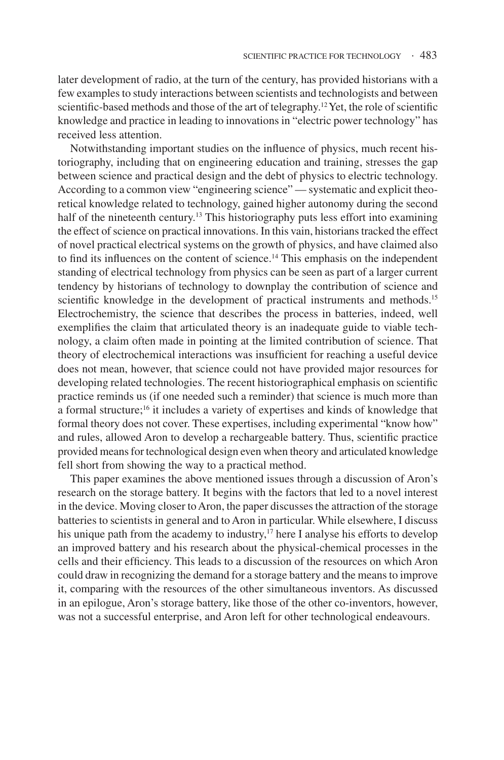later development of radio, at the turn of the century, has provided historians with a few examples to study interactions between scientists and technologists and between scientific-based methods and those of the art of telegraphy.<sup>12</sup> Yet, the role of scientific knowledge and practice in leading to innovations in "electric power technology" has received less attention.

Notwithstanding important studies on the influence of physics, much recent historiography, including that on engineering education and training, stresses the gap between science and practical design and the debt of physics to electric technology. According to a common view "engineering science" — systematic and explicit theoretical knowledge related to technology, gained higher autonomy during the second half of the nineteenth century.<sup>13</sup> This historiography puts less effort into examining the effect of science on practical innovations. In this vain, historians tracked the effect of novel practical electrical systems on the growth of physics, and have claimed also to find its influences on the content of science.<sup>14</sup> This emphasis on the independent standing of electrical technology from physics can be seen as part of a larger current tendency by historians of technology to downplay the contribution of science and scientific knowledge in the development of practical instruments and methods.<sup>15</sup> Electrochemistry, the science that describes the process in batteries, indeed, well exemplifies the claim that articulated theory is an inadequate guide to viable technology, a claim often made in pointing at the limited contribution of science. That theory of electrochemical interactions was insufficient for reaching a useful device does not mean, however, that science could not have provided major resources for developing related technologies. The recent historiographical emphasis on scientific practice reminds us (if one needed such a reminder) that science is much more than a formal structure;16 it includes a variety of expertises and kinds of knowledge that formal theory does not cover. These expertises, including experimental "know how" and rules, allowed Aron to develop a rechargeable battery. Thus, scientific practice provided means for technological design even when theory and articulated knowledge fell short from showing the way to a practical method.

This paper examines the above mentioned issues through a discussion of Aron's research on the storage battery. It begins with the factors that led to a novel interest in the device. Moving closer to Aron, the paper discusses the attraction of the storage batteries to scientists in general and to Aron in particular. While elsewhere, I discuss his unique path from the academy to industry, $17$  here I analyse his efforts to develop an improved battery and his research about the physical-chemical processes in the cells and their efficiency. This leads to a discussion of the resources on which Aron could draw in recognizing the demand for a storage battery and the means to improve it, comparing with the resources of the other simultaneous inventors. As discussed in an epilogue, Aron's storage battery, like those of the other co-inventors, however, was not a successful enterprise, and Aron left for other technological endeavours.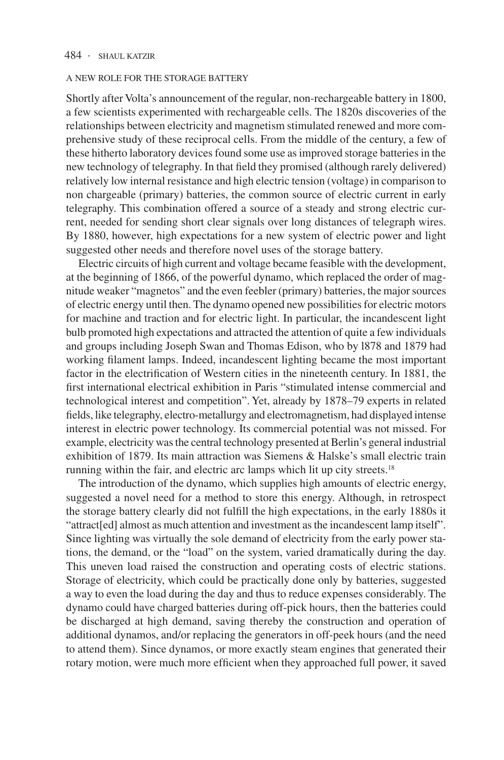# A new role for the storage battery

Shortly after Volta's announcement of the regular, non-rechargeable battery in 1800, a few scientists experimented with rechargeable cells. The 1820s discoveries of the relationships between electricity and magnetism stimulated renewed and more comprehensive study of these reciprocal cells. From the middle of the century, a few of these hitherto laboratory devices found some use as improved storage batteries in the new technology of telegraphy. In that field they promised (although rarely delivered) relatively low internal resistance and high electric tension (voltage) in comparison to non chargeable (primary) batteries, the common source of electric current in early telegraphy. This combination offered a source of a steady and strong electric current, needed for sending short clear signals over long distances of telegraph wires. By 1880, however, high expectations for a new system of electric power and light suggested other needs and therefore novel uses of the storage battery.

Electric circuits of high current and voltage became feasible with the development, at the beginning of 1866, of the powerful dynamo, which replaced the order of magnitude weaker "magnetos" and the even feebler (primary) batteries, the major sources of electric energy until then. The dynamo opened new possibilities for electric motors for machine and traction and for electric light. In particular, the incandescent light bulb promoted high expectations and attracted the attention of quite a few individuals and groups including Joseph Swan and Thomas Edison, who by l878 and 1879 had working filament lamps. Indeed, incandescent lighting became the most important factor in the electrification of Western cities in the nineteenth century. In 1881, the first international electrical exhibition in Paris "stimulated intense commercial and technological interest and competition". Yet, already by 1878–79 experts in related fields, like telegraphy, electro-metallurgy and electromagnetism, had displayed intense interest in electric power technology. Its commercial potential was not missed. For example, electricity was the central technology presented at Berlin's general industrial exhibition of 1879. Its main attraction was Siemens & Halske's small electric train running within the fair, and electric arc lamps which lit up city streets.<sup>18</sup>

The introduction of the dynamo, which supplies high amounts of electric energy, suggested a novel need for a method to store this energy. Although, in retrospect the storage battery clearly did not fulfill the high expectations, in the early 1880s it "attract[ed] almost as much attention and investment as the incandescent lamp itself". Since lighting was virtually the sole demand of electricity from the early power stations, the demand, or the "load" on the system, varied dramatically during the day. This uneven load raised the construction and operating costs of electric stations. Storage of electricity, which could be practically done only by batteries, suggested a way to even the load during the day and thus to reduce expenses considerably. The dynamo could have charged batteries during off-pick hours, then the batteries could be discharged at high demand, saving thereby the construction and operation of additional dynamos, and/or replacing the generators in off-peek hours (and the need to attend them). Since dynamos, or more exactly steam engines that generated their rotary motion, were much more efficient when they approached full power, it saved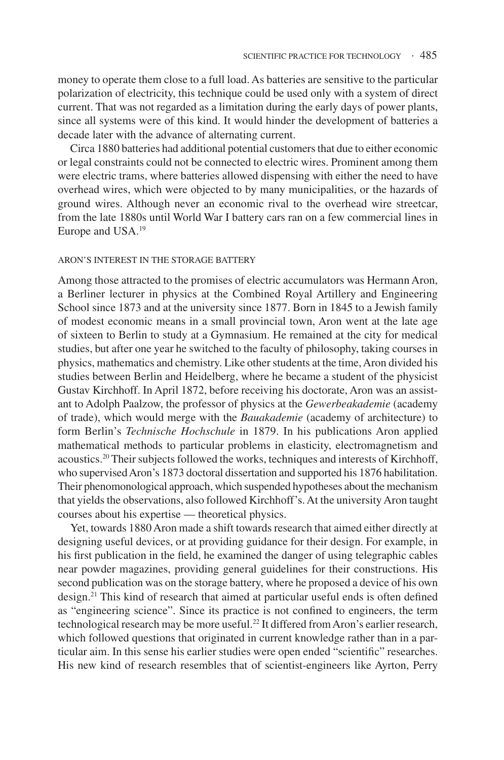money to operate them close to a full load. As batteries are sensitive to the particular polarization of electricity, this technique could be used only with a system of direct current. That was not regarded as a limitation during the early days of power plants, since all systems were of this kind. It would hinder the development of batteries a decade later with the advance of alternating current.

Circa 1880 batteries had additional potential customers that due to either economic or legal constraints could not be connected to electric wires. Prominent among them were electric trams, where batteries allowed dispensing with either the need to have overhead wires, which were objected to by many municipalities, or the hazards of ground wires. Although never an economic rival to the overhead wire streetcar, from the late 1880s until World War I battery cars ran on a few commercial lines in Europe and USA.19

# Aron's interest in the storage battery

Among those attracted to the promises of electric accumulators was Hermann Aron, a Berliner lecturer in physics at the Combined Royal Artillery and Engineering School since 1873 and at the university since 1877. Born in 1845 to a Jewish family of modest economic means in a small provincial town, Aron went at the late age of sixteen to Berlin to study at a Gymnasium. He remained at the city for medical studies, but after one year he switched to the faculty of philosophy, taking courses in physics, mathematics and chemistry. Like other students at the time, Aron divided his studies between Berlin and Heidelberg, where he became a student of the physicist Gustav Kirchhoff. In April 1872, before receiving his doctorate, Aron was an assistant to Adolph Paalzow, the professor of physics at the *Gewerbeakademie* (academy of trade), which would merge with the *Bauakademie* (academy of architecture) to form Berlin's *Technische Hochschule* in 1879. In his publications Aron applied mathematical methods to particular problems in elasticity, electromagnetism and acoustics.20 Their subjects followed the works, techniques and interests of Kirchhoff, who supervised Aron's 1873 doctoral dissertation and supported his 1876 habilitation. Their phenomonological approach, which suspended hypotheses about the mechanism that yields the observations, also followed Kirchhoff's. At the university Aron taught courses about his expertise — theoretical physics.

Yet, towards 1880 Aron made a shift towards research that aimed either directly at designing useful devices, or at providing guidance for their design. For example, in his first publication in the field, he examined the danger of using telegraphic cables near powder magazines, providing general guidelines for their constructions. His second publication was on the storage battery, where he proposed a device of his own design.21 This kind of research that aimed at particular useful ends is often defined as "engineering science". Since its practice is not confined to engineers, the term technological research may be more useful.<sup>22</sup> It differed from Aron's earlier research, which followed questions that originated in current knowledge rather than in a particular aim. In this sense his earlier studies were open ended "scientific" researches. His new kind of research resembles that of scientist-engineers like Ayrton, Perry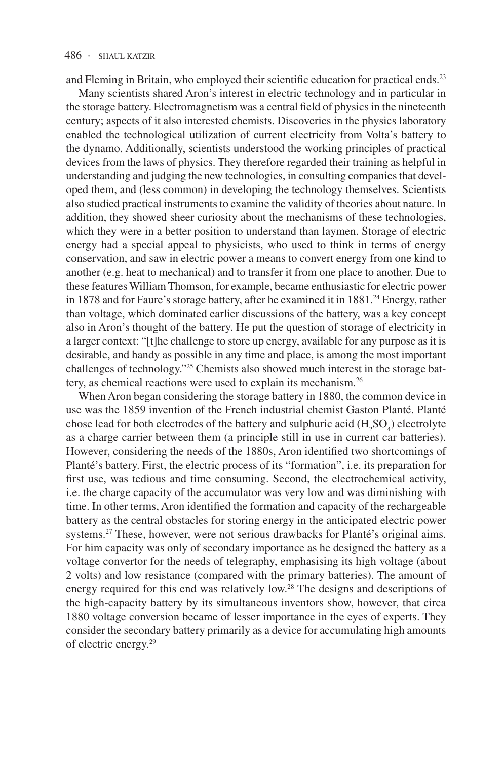and Fleming in Britain, who employed their scientific education for practical ends.<sup>23</sup>

Many scientists shared Aron's interest in electric technology and in particular in the storage battery. Electromagnetism was a central field of physics in the nineteenth century; aspects of it also interested chemists. Discoveries in the physics laboratory enabled the technological utilization of current electricity from Volta's battery to the dynamo. Additionally, scientists understood the working principles of practical devices from the laws of physics. They therefore regarded their training as helpful in understanding and judging the new technologies, in consulting companies that developed them, and (less common) in developing the technology themselves. Scientists also studied practical instruments to examine the validity of theories about nature. In addition, they showed sheer curiosity about the mechanisms of these technologies, which they were in a better position to understand than laymen. Storage of electric energy had a special appeal to physicists, who used to think in terms of energy conservation, and saw in electric power a means to convert energy from one kind to another (e.g. heat to mechanical) and to transfer it from one place to another. Due to these features William Thomson, for example, became enthusiastic for electric power in 1878 and for Faure's storage battery, after he examined it in 1881.<sup>24</sup> Energy, rather than voltage, which dominated earlier discussions of the battery, was a key concept also in Aron's thought of the battery. He put the question of storage of electricity in a larger context: "[t]he challenge to store up energy, available for any purpose as it is desirable, and handy as possible in any time and place, is among the most important challenges of technology."25 Chemists also showed much interest in the storage battery, as chemical reactions were used to explain its mechanism.26

When Aron began considering the storage battery in 1880, the common device in use was the 1859 invention of the French industrial chemist Gaston Planté. Planté chose lead for both electrodes of the battery and sulphuric acid  $(H_2SO_4)$  electrolyte as a charge carrier between them (a principle still in use in current car batteries). However, considering the needs of the 1880s, Aron identified two shortcomings of Planté's battery. First, the electric process of its "formation", i.e. its preparation for first use, was tedious and time consuming. Second, the electrochemical activity, i.e. the charge capacity of the accumulator was very low and was diminishing with time. In other terms, Aron identified the formation and capacity of the rechargeable battery as the central obstacles for storing energy in the anticipated electric power systems.27 These, however, were not serious drawbacks for Planté's original aims. For him capacity was only of secondary importance as he designed the battery as a voltage convertor for the needs of telegraphy, emphasising its high voltage (about 2 volts) and low resistance (compared with the primary batteries). The amount of energy required for this end was relatively low.28 The designs and descriptions of the high-capacity battery by its simultaneous inventors show, however, that circa 1880 voltage conversion became of lesser importance in the eyes of experts. They consider the secondary battery primarily as a device for accumulating high amounts of electric energy.29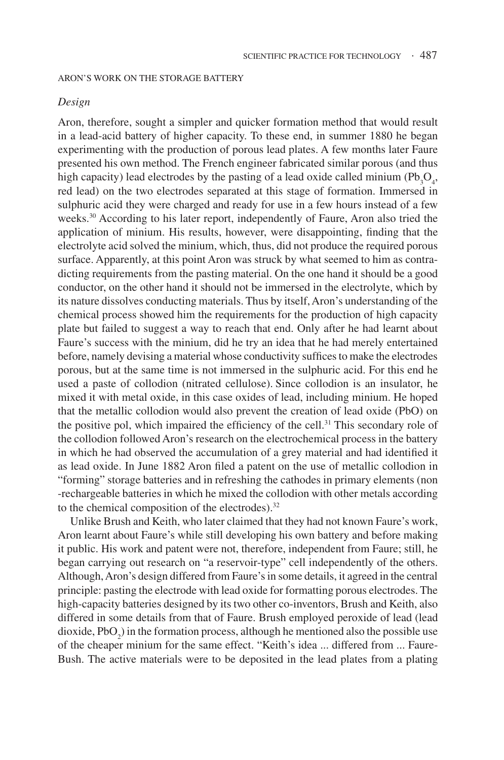#### Aron's work on the storage battery

# *Design*

Aron, therefore, sought a simpler and quicker formation method that would result in a lead-acid battery of higher capacity. To these end, in summer 1880 he began experimenting with the production of porous lead plates. A few months later Faure presented his own method. The French engineer fabricated similar porous (and thus high capacity) lead electrodes by the pasting of a lead oxide called minium ( $Pb_3O_4$ , red lead) on the two electrodes separated at this stage of formation. Immersed in sulphuric acid they were charged and ready for use in a few hours instead of a few weeks.<sup>30</sup> According to his later report, independently of Faure, Aron also tried the application of minium. His results, however, were disappointing, finding that the electrolyte acid solved the minium, which, thus, did not produce the required porous surface. Apparently, at this point Aron was struck by what seemed to him as contradicting requirements from the pasting material. On the one hand it should be a good conductor, on the other hand it should not be immersed in the electrolyte, which by its nature dissolves conducting materials. Thus by itself, Aron's understanding of the chemical process showed him the requirements for the production of high capacity plate but failed to suggest a way to reach that end. Only after he had learnt about Faure's success with the minium, did he try an idea that he had merely entertained before, namely devising a material whose conductivity suffices to make the electrodes porous, but at the same time is not immersed in the sulphuric acid. For this end he used a paste of collodion (nitrated cellulose). Since collodion is an insulator, he mixed it with metal oxide, in this case oxides of lead, including minium. He hoped that the metallic collodion would also prevent the creation of lead oxide (PbO) on the positive pol, which impaired the efficiency of the cell.<sup>31</sup> This secondary role of the collodion followed Aron's research on the electrochemical process in the battery in which he had observed the accumulation of a grey material and had identified it as lead oxide. In June 1882 Aron filed a patent on the use of metallic collodion in "forming" storage batteries and in refreshing the cathodes in primary elements (non -rechargeable batteries in which he mixed the collodion with other metals according to the chemical composition of the electrodes).<sup>32</sup>

Unlike Brush and Keith, who later claimed that they had not known Faure's work, Aron learnt about Faure's while still developing his own battery and before making it public. His work and patent were not, therefore, independent from Faure; still, he began carrying out research on "a reservoir-type" cell independently of the others. Although, Aron's design differed from Faure's in some details, it agreed in the central principle: pasting the electrode with lead oxide for formatting porous electrodes. The high-capacity batteries designed by its two other co-inventors, Brush and Keith, also differed in some details from that of Faure. Brush employed peroxide of lead (lead dioxide,  $PbO_2$ ) in the formation process, although he mentioned also the possible use of the cheaper minium for the same effect. "Keith's idea ... differed from ... Faure-Bush. The active materials were to be deposited in the lead plates from a plating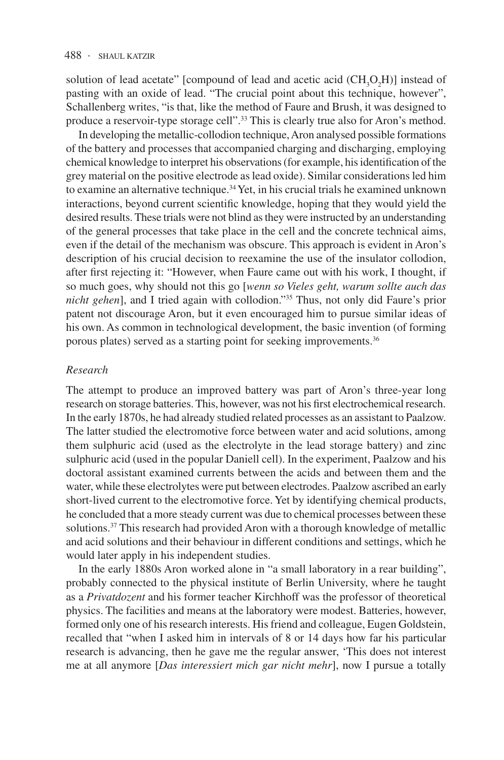solution of lead acetate" [compound of lead and acetic acid  $(CH_3O_2H)$ ] instead of pasting with an oxide of lead. "The crucial point about this technique, however", Schallenberg writes, "is that, like the method of Faure and Brush, it was designed to produce a reservoir-type storage cell".<sup>33</sup> This is clearly true also for Aron's method.

In developing the metallic-collodion technique, Aron analysed possible formations of the battery and processes that accompanied charging and discharging, employing chemical knowledge to interpret his observations (for example, his identification of the grey material on the positive electrode as lead oxide). Similar considerations led him to examine an alternative technique.34 Yet, in his crucial trials he examined unknown interactions, beyond current scientific knowledge, hoping that they would yield the desired results. These trials were not blind as they were instructed by an understanding of the general processes that take place in the cell and the concrete technical aims, even if the detail of the mechanism was obscure. This approach is evident in Aron's description of his crucial decision to reexamine the use of the insulator collodion, after first rejecting it: "However, when Faure came out with his work, I thought, if so much goes, why should not this go [*wenn so Vieles geht, warum sollte auch das nicht gehen*], and I tried again with collodion."35 Thus, not only did Faure's prior patent not discourage Aron, but it even encouraged him to pursue similar ideas of his own. As common in technological development, the basic invention (of forming porous plates) served as a starting point for seeking improvements.36

# *Research*

The attempt to produce an improved battery was part of Aron's three-year long research on storage batteries. This, however, was not his first electrochemical research. In the early 1870s, he had already studied related processes as an assistant to Paalzow. The latter studied the electromotive force between water and acid solutions, among them sulphuric acid (used as the electrolyte in the lead storage battery) and zinc sulphuric acid (used in the popular Daniell cell). In the experiment, Paalzow and his doctoral assistant examined currents between the acids and between them and the water, while these electrolytes were put between electrodes. Paalzow ascribed an early short-lived current to the electromotive force. Yet by identifying chemical products, he concluded that a more steady current was due to chemical processes between these solutions.<sup>37</sup> This research had provided Aron with a thorough knowledge of metallic and acid solutions and their behaviour in different conditions and settings, which he would later apply in his independent studies.

In the early 1880s Aron worked alone in "a small laboratory in a rear building", probably connected to the physical institute of Berlin University, where he taught as a *Privatdozent* and his former teacher Kirchhoff was the professor of theoretical physics. The facilities and means at the laboratory were modest. Batteries, however, formed only one of his research interests. His friend and colleague, Eugen Goldstein, recalled that "when I asked him in intervals of 8 or 14 days how far his particular research is advancing, then he gave me the regular answer, 'This does not interest me at all anymore [*Das interessiert mich gar nicht mehr*], now I pursue a totally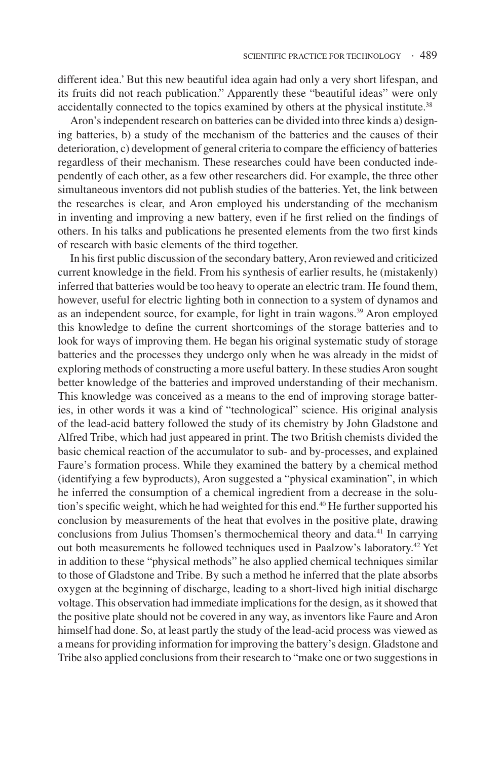different idea.' But this new beautiful idea again had only a very short lifespan, and its fruits did not reach publication." Apparently these "beautiful ideas" were only accidentally connected to the topics examined by others at the physical institute.<sup>38</sup>

Aron's independent research on batteries can be divided into three kinds a) designing batteries, b) a study of the mechanism of the batteries and the causes of their deterioration, c) development of general criteria to compare the efficiency of batteries regardless of their mechanism. These researches could have been conducted independently of each other, as a few other researchers did. For example, the three other simultaneous inventors did not publish studies of the batteries. Yet, the link between the researches is clear, and Aron employed his understanding of the mechanism in inventing and improving a new battery, even if he first relied on the findings of others. In his talks and publications he presented elements from the two first kinds of research with basic elements of the third together.

In his first public discussion of the secondary battery, Aron reviewed and criticized current knowledge in the field. From his synthesis of earlier results, he (mistakenly) inferred that batteries would be too heavy to operate an electric tram. He found them, however, useful for electric lighting both in connection to a system of dynamos and as an independent source, for example, for light in train wagons.39 Aron employed this knowledge to define the current shortcomings of the storage batteries and to look for ways of improving them. He began his original systematic study of storage batteries and the processes they undergo only when he was already in the midst of exploring methods of constructing a more useful battery. In these studies Aron sought better knowledge of the batteries and improved understanding of their mechanism. This knowledge was conceived as a means to the end of improving storage batteries, in other words it was a kind of "technological" science. His original analysis of the lead-acid battery followed the study of its chemistry by John Gladstone and Alfred Tribe, which had just appeared in print. The two British chemists divided the basic chemical reaction of the accumulator to sub- and by-processes, and explained Faure's formation process. While they examined the battery by a chemical method (identifying a few byproducts), Aron suggested a "physical examination", in which he inferred the consumption of a chemical ingredient from a decrease in the solution's specific weight, which he had weighted for this end.<sup>40</sup> He further supported his conclusion by measurements of the heat that evolves in the positive plate, drawing conclusions from Julius Thomsen's thermochemical theory and data.41 In carrying out both measurements he followed techniques used in Paalzow's laboratory.42 Yet in addition to these "physical methods" he also applied chemical techniques similar to those of Gladstone and Tribe. By such a method he inferred that the plate absorbs oxygen at the beginning of discharge, leading to a short-lived high initial discharge voltage. This observation had immediate implications for the design, as it showed that the positive plate should not be covered in any way, as inventors like Faure and Aron himself had done. So, at least partly the study of the lead-acid process was viewed as a means for providing information for improving the battery's design. Gladstone and Tribe also applied conclusions from their research to "make one or two suggestions in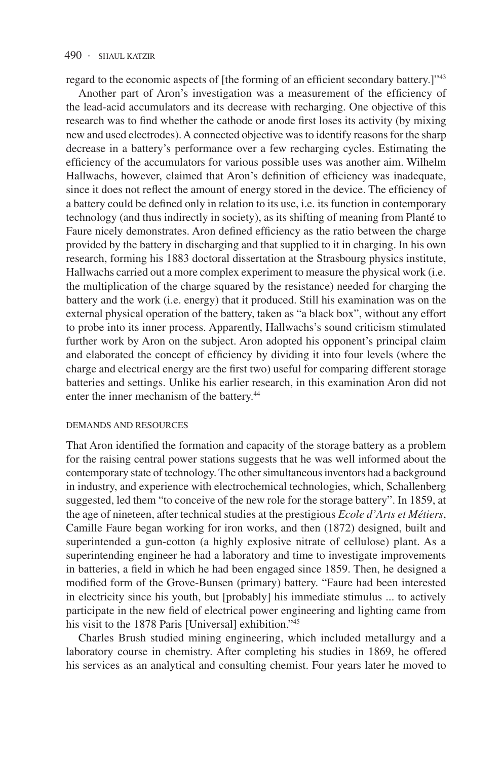regard to the economic aspects of [the forming of an efficient secondary battery.]"43

Another part of Aron's investigation was a measurement of the efficiency of the lead-acid accumulators and its decrease with recharging. One objective of this research was to find whether the cathode or anode first loses its activity (by mixing new and used electrodes). A connected objective was to identify reasons for the sharp decrease in a battery's performance over a few recharging cycles. Estimating the efficiency of the accumulators for various possible uses was another aim. Wilhelm Hallwachs, however, claimed that Aron's definition of efficiency was inadequate, since it does not reflect the amount of energy stored in the device. The efficiency of a battery could be defined only in relation to its use, i.e. its function in contemporary technology (and thus indirectly in society), as its shifting of meaning from Planté to Faure nicely demonstrates. Aron defined efficiency as the ratio between the charge provided by the battery in discharging and that supplied to it in charging. In his own research, forming his 1883 doctoral dissertation at the Strasbourg physics institute, Hallwachs carried out a more complex experiment to measure the physical work (i.e. the multiplication of the charge squared by the resistance) needed for charging the battery and the work (i.e. energy) that it produced. Still his examination was on the external physical operation of the battery, taken as "a black box", without any effort to probe into its inner process. Apparently, Hallwachs's sound criticism stimulated further work by Aron on the subject. Aron adopted his opponent's principal claim and elaborated the concept of efficiency by dividing it into four levels (where the charge and electrical energy are the first two) useful for comparing different storage batteries and settings. Unlike his earlier research, in this examination Aron did not enter the inner mechanism of the battery.<sup>44</sup>

# Demands and Resources

That Aron identified the formation and capacity of the storage battery as a problem for the raising central power stations suggests that he was well informed about the contemporary state of technology. The other simultaneous inventors had a background in industry, and experience with electrochemical technologies, which, Schallenberg suggested, led them "to conceive of the new role for the storage battery". In 1859, at the age of nineteen, after technical studies at the prestigious *Ecole d'Arts et Métiers*, Camille Faure began working for iron works, and then (1872) designed, built and superintended a gun-cotton (a highly explosive nitrate of cellulose) plant. As a superintending engineer he had a laboratory and time to investigate improvements in batteries, a field in which he had been engaged since 1859. Then, he designed a modified form of the Grove-Bunsen (primary) battery. "Faure had been interested in electricity since his youth, but [probably] his immediate stimulus ... to actively participate in the new field of electrical power engineering and lighting came from his visit to the 1878 Paris [Universal] exhibition."<sup>45</sup>

Charles Brush studied mining engineering, which included metallurgy and a laboratory course in chemistry. After completing his studies in 1869, he offered his services as an analytical and consulting chemist. Four years later he moved to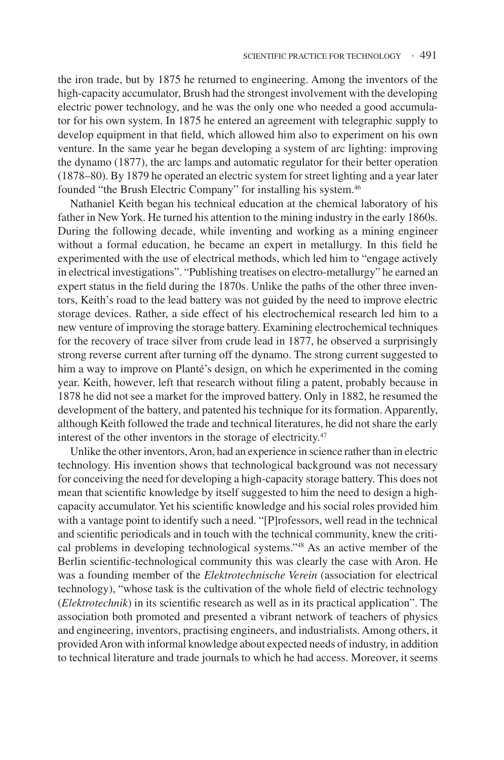the iron trade, but by 1875 he returned to engineering. Among the inventors of the high-capacity accumulator, Brush had the strongest involvement with the developing electric power technology, and he was the only one who needed a good accumulator for his own system. In 1875 he entered an agreement with telegraphic supply to develop equipment in that field, which allowed him also to experiment on his own venture. In the same year he began developing a system of arc lighting: improving the dynamo (1877), the arc lamps and automatic regulator for their better operation (1878–80). By 1879 he operated an electric system for street lighting and a year later founded "the Brush Electric Company" for installing his system.<sup>46</sup>

Nathaniel Keith began his technical education at the chemical laboratory of his father in New York. He turned his attention to the mining industry in the early 1860s. During the following decade, while inventing and working as a mining engineer without a formal education, he became an expert in metallurgy. In this field he experimented with the use of electrical methods, which led him to "engage actively in electrical investigations". "Publishing treatises on electro-metallurgy" he earned an expert status in the field during the 1870s. Unlike the paths of the other three inventors, Keith's road to the lead battery was not guided by the need to improve electric storage devices. Rather, a side effect of his electrochemical research led him to a new venture of improving the storage battery. Examining electrochemical techniques for the recovery of trace silver from crude lead in 1877, he observed a surprisingly strong reverse current after turning off the dynamo. The strong current suggested to him a way to improve on Planté's design, on which he experimented in the coming year. Keith, however, left that research without filing a patent, probably because in 1878 he did not see a market for the improved battery. Only in 1882, he resumed the development of the battery, and patented his technique for its formation. Apparently, although Keith followed the trade and technical literatures, he did not share the early interest of the other inventors in the storage of electricity.<sup>47</sup>

Unlike the other inventors, Aron, had an experience in science rather than in electric technology. His invention shows that technological background was not necessary for conceiving the need for developing a high-capacity storage battery. This does not mean that scientific knowledge by itself suggested to him the need to design a highcapacity accumulator. Yet his scientific knowledge and his social roles provided him with a vantage point to identify such a need. "[P]rofessors, well read in the technical and scientific periodicals and in touch with the technical community, knew the critical problems in developing technological systems."48 As an active member of the Berlin scientific-technological community this was clearly the case with Aron. He was a founding member of the *Elektrotechnische Verein* (association for electrical technology), "whose task is the cultivation of the whole field of electric technology (*Elektrotechnik*) in its scientific research as well as in its practical application". The association both promoted and presented a vibrant network of teachers of physics and engineering, inventors, practising engineers, and industrialists. Among others, it provided Aron with informal knowledge about expected needs of industry, in addition to technical literature and trade journals to which he had access. Moreover, it seems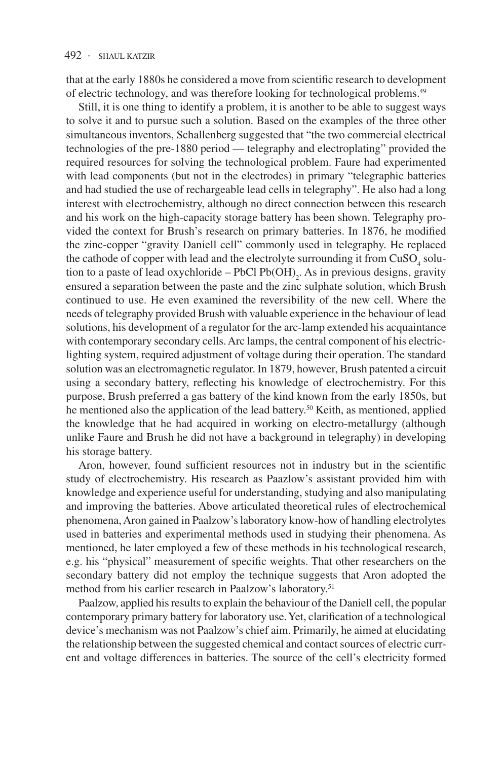that at the early 1880s he considered a move from scientific research to development of electric technology, and was therefore looking for technological problems.49

Still, it is one thing to identify a problem, it is another to be able to suggest ways to solve it and to pursue such a solution. Based on the examples of the three other simultaneous inventors, Schallenberg suggested that "the two commercial electrical technologies of the pre-1880 period — telegraphy and electroplating" provided the required resources for solving the technological problem. Faure had experimented with lead components (but not in the electrodes) in primary "telegraphic batteries and had studied the use of rechargeable lead cells in telegraphy". He also had a long interest with electrochemistry, although no direct connection between this research and his work on the high-capacity storage battery has been shown. Telegraphy provided the context for Brush's research on primary batteries. In 1876, he modified the zinc-copper "gravity Daniell cell" commonly used in telegraphy. He replaced the cathode of copper with lead and the electrolyte surrounding it from  $\rm CuSO_{4}$  solution to a paste of lead oxychloride – PbCl  $Pb(OH)_{2}$ . As in previous designs, gravity ensured a separation between the paste and the zinc sulphate solution, which Brush continued to use. He even examined the reversibility of the new cell. Where the needs of telegraphy provided Brush with valuable experience in the behaviour of lead solutions, his development of a regulator for the arc-lamp extended his acquaintance with contemporary secondary cells. Arc lamps, the central component of his electriclighting system, required adjustment of voltage during their operation. The standard solution was an electromagnetic regulator. In 1879, however, Brush patented a circuit using a secondary battery, reflecting his knowledge of electrochemistry. For this purpose, Brush preferred a gas battery of the kind known from the early 1850s, but he mentioned also the application of the lead battery.50 Keith, as mentioned, applied the knowledge that he had acquired in working on electro-metallurgy (although unlike Faure and Brush he did not have a background in telegraphy) in developing his storage battery.

Aron, however, found sufficient resources not in industry but in the scientific study of electrochemistry. His research as Paazlow's assistant provided him with knowledge and experience useful for understanding, studying and also manipulating and improving the batteries. Above articulated theoretical rules of electrochemical phenomena, Aron gained in Paalzow's laboratory know-how of handling electrolytes used in batteries and experimental methods used in studying their phenomena. As mentioned, he later employed a few of these methods in his technological research, e.g. his "physical" measurement of specific weights. That other researchers on the secondary battery did not employ the technique suggests that Aron adopted the method from his earlier research in Paalzow's laboratory.51

Paalzow, applied his results to explain the behaviour of the Daniell cell, the popular contemporary primary battery for laboratory use. Yet, clarification of a technological device's mechanism was not Paalzow's chief aim. Primarily, he aimed at elucidating the relationship between the suggested chemical and contact sources of electric current and voltage differences in batteries. The source of the cell's electricity formed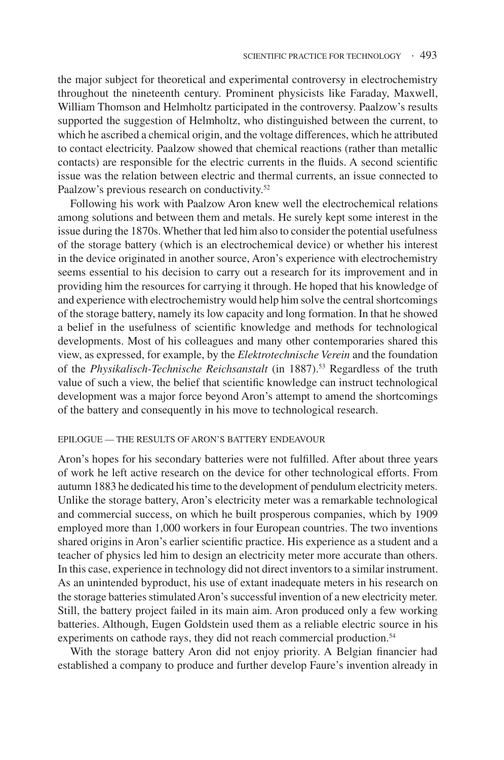the major subject for theoretical and experimental controversy in electrochemistry throughout the nineteenth century. Prominent physicists like Faraday, Maxwell, William Thomson and Helmholtz participated in the controversy. Paalzow's results supported the suggestion of Helmholtz, who distinguished between the current, to which he ascribed a chemical origin, and the voltage differences, which he attributed to contact electricity. Paalzow showed that chemical reactions (rather than metallic contacts) are responsible for the electric currents in the fluids. A second scientific issue was the relation between electric and thermal currents, an issue connected to Paalzow's previous research on conductivity.<sup>52</sup>

Following his work with Paalzow Aron knew well the electrochemical relations among solutions and between them and metals. He surely kept some interest in the issue during the 1870s. Whether that led him also to consider the potential usefulness of the storage battery (which is an electrochemical device) or whether his interest in the device originated in another source, Aron's experience with electrochemistry seems essential to his decision to carry out a research for its improvement and in providing him the resources for carrying it through. He hoped that his knowledge of and experience with electrochemistry would help him solve the central shortcomings of the storage battery, namely its low capacity and long formation. In that he showed a belief in the usefulness of scientific knowledge and methods for technological developments. Most of his colleagues and many other contemporaries shared this view, as expressed, for example, by the *Elektrotechnische Verein* and the foundation of the *Physikalisch-Technische Reichsanstalt* (in 1887).53 Regardless of the truth value of such a view, the belief that scientific knowledge can instruct technological development was a major force beyond Aron's attempt to amend the shortcomings of the battery and consequently in his move to technological research.

## Epilogue — the results of Aron's battery endeavour

Aron's hopes for his secondary batteries were not fulfilled. After about three years of work he left active research on the device for other technological efforts. From autumn 1883 he dedicated his time to the development of pendulum electricity meters. Unlike the storage battery, Aron's electricity meter was a remarkable technological and commercial success, on which he built prosperous companies, which by 1909 employed more than 1,000 workers in four European countries. The two inventions shared origins in Aron's earlier scientific practice. His experience as a student and a teacher of physics led him to design an electricity meter more accurate than others. In this case, experience in technology did not direct inventors to a similar instrument. As an unintended byproduct, his use of extant inadequate meters in his research on the storage batteries stimulated Aron's successful invention of a new electricity meter. Still, the battery project failed in its main aim. Aron produced only a few working batteries. Although, Eugen Goldstein used them as a reliable electric source in his experiments on cathode rays, they did not reach commercial production.<sup>54</sup>

With the storage battery Aron did not enjoy priority. A Belgian financier had established a company to produce and further develop Faure's invention already in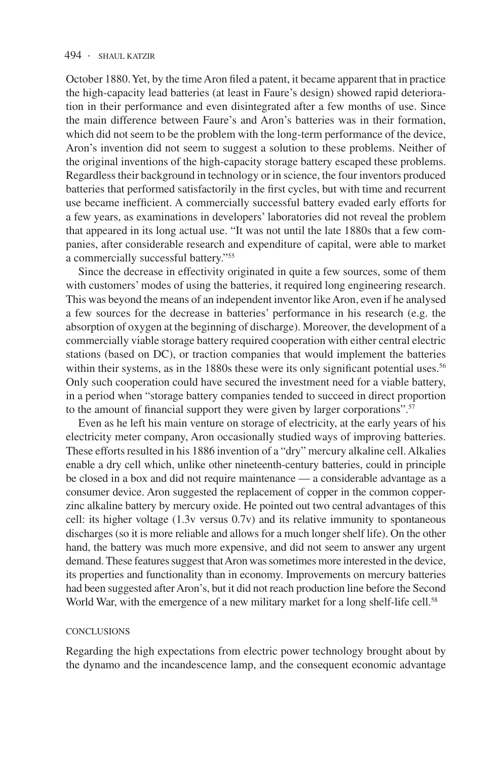October 1880. Yet, by the time Aron filed a patent, it became apparent that in practice the high-capacity lead batteries (at least in Faure's design) showed rapid deterioration in their performance and even disintegrated after a few months of use. Since the main difference between Faure's and Aron's batteries was in their formation, which did not seem to be the problem with the long-term performance of the device, Aron's invention did not seem to suggest a solution to these problems. Neither of the original inventions of the high-capacity storage battery escaped these problems. Regardless their background in technology or in science, the four inventors produced batteries that performed satisfactorily in the first cycles, but with time and recurrent use became inefficient. A commercially successful battery evaded early efforts for a few years, as examinations in developers' laboratories did not reveal the problem that appeared in its long actual use. "It was not until the late 1880s that a few companies, after considerable research and expenditure of capital, were able to market a commercially successful battery."55

Since the decrease in effectivity originated in quite a few sources, some of them with customers' modes of using the batteries, it required long engineering research. This was beyond the means of an independent inventor like Aron, even if he analysed a few sources for the decrease in batteries' performance in his research (e.g. the absorption of oxygen at the beginning of discharge). Moreover, the development of a commercially viable storage battery required cooperation with either central electric stations (based on DC), or traction companies that would implement the batteries within their systems, as in the 1880s these were its only significant potential uses.<sup>56</sup> Only such cooperation could have secured the investment need for a viable battery, in a period when "storage battery companies tended to succeed in direct proportion to the amount of financial support they were given by larger corporations".<sup>57</sup>

Even as he left his main venture on storage of electricity, at the early years of his electricity meter company, Aron occasionally studied ways of improving batteries. These efforts resulted in his 1886 invention of a "dry" mercury alkaline cell. Alkalies enable a dry cell which, unlike other nineteenth-century batteries, could in principle be closed in a box and did not require maintenance — a considerable advantage as a consumer device. Aron suggested the replacement of copper in the common copperzinc alkaline battery by mercury oxide. He pointed out two central advantages of this cell: its higher voltage (1.3v versus 0.7v) and its relative immunity to spontaneous discharges (so it is more reliable and allows for a much longer shelf life). On the other hand, the battery was much more expensive, and did not seem to answer any urgent demand. These features suggest that Aron was sometimes more interested in the device, its properties and functionality than in economy. Improvements on mercury batteries had been suggested after Aron's, but it did not reach production line before the Second World War, with the emergence of a new military market for a long shelf-life cell.<sup>58</sup>

# **CONCLUSIONS**

Regarding the high expectations from electric power technology brought about by the dynamo and the incandescence lamp, and the consequent economic advantage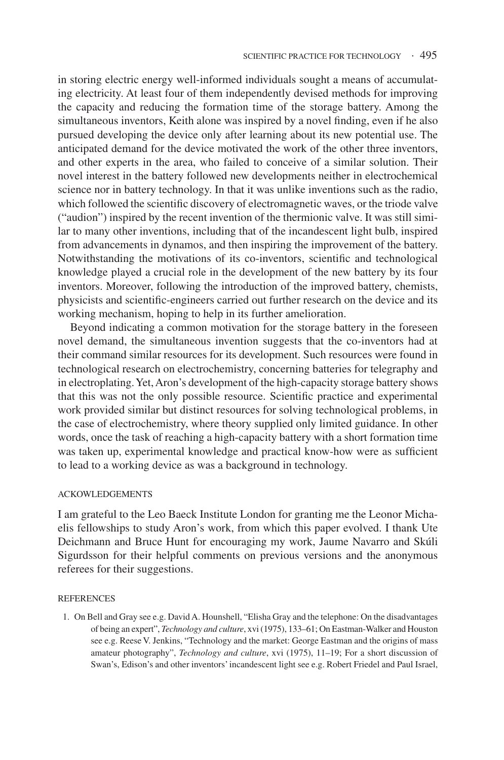in storing electric energy well-informed individuals sought a means of accumulating electricity. At least four of them independently devised methods for improving the capacity and reducing the formation time of the storage battery. Among the simultaneous inventors, Keith alone was inspired by a novel finding, even if he also pursued developing the device only after learning about its new potential use. The anticipated demand for the device motivated the work of the other three inventors, and other experts in the area, who failed to conceive of a similar solution. Their novel interest in the battery followed new developments neither in electrochemical science nor in battery technology. In that it was unlike inventions such as the radio, which followed the scientific discovery of electromagnetic waves, or the triode valve ("audion") inspired by the recent invention of the thermionic valve. It was still similar to many other inventions, including that of the incandescent light bulb, inspired from advancements in dynamos, and then inspiring the improvement of the battery. Notwithstanding the motivations of its co-inventors, scientific and technological knowledge played a crucial role in the development of the new battery by its four inventors. Moreover, following the introduction of the improved battery, chemists, physicists and scientific-engineers carried out further research on the device and its working mechanism, hoping to help in its further amelioration.

Beyond indicating a common motivation for the storage battery in the foreseen novel demand, the simultaneous invention suggests that the co-inventors had at their command similar resources for its development. Such resources were found in technological research on electrochemistry, concerning batteries for telegraphy and in electroplating. Yet, Aron's development of the high-capacity storage battery shows that this was not the only possible resource. Scientific practice and experimental work provided similar but distinct resources for solving technological problems, in the case of electrochemistry, where theory supplied only limited guidance. In other words, once the task of reaching a high-capacity battery with a short formation time was taken up, experimental knowledge and practical know-how were as sufficient to lead to a working device as was a background in technology.

#### ackowledgements

I am grateful to the Leo Baeck Institute London for granting me the Leonor Michaelis fellowships to study Aron's work, from which this paper evolved. I thank Ute Deichmann and Bruce Hunt for encouraging my work, Jaume Navarro and Skúli Sigurdsson for their helpful comments on previous versions and the anonymous referees for their suggestions.

#### **REFERENCES**

1. On Bell and Gray see e.g. David A. Hounshell, "Elisha Gray and the telephone: On the disadvantages of being an expert", *Technology and culture*, xvi (1975), 133–61; On Eastman-Walker and Houston see e.g. Reese V. Jenkins, "Technology and the market: George Eastman and the origins of mass amateur photography", *Technology and culture*, xvi (1975), 11–19; For a short discussion of Swan's, Edison's and other inventors' incandescent light see e.g. Robert Friedel and Paul Israel,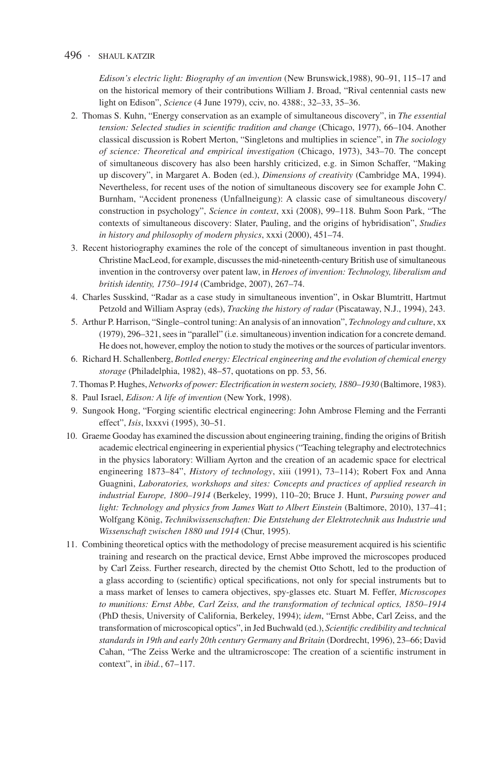# 496 · Shaul Katzir

*Edison's electric light: Biography of an invention* (New Brunswick,1988), 90–91, 115–17 and on the historical memory of their contributions William J. Broad, "Rival centennial casts new light on Edison", *Science* (4 June 1979), cciv, no. 4388:, 32–33, 35–36.

- 2. Thomas S. Kuhn, "Energy conservation as an example of simultaneous discovery", in *The essential tension: Selected studies in scientific tradition and change* (Chicago, 1977), 66–104. Another classical discussion is Robert Merton, "Singletons and multiplies in science", in *The sociology of science: Theoretical and empirical investigation* (Chicago, 1973), 343–70. The concept of simultaneous discovery has also been harshly criticized, e.g. in Simon Schaffer, "Making up discovery", in Margaret A. Boden (ed.), *Dimensions of creativity* (Cambridge MA, 1994). Nevertheless, for recent uses of the notion of simultaneous discovery see for example John C. Burnham, "Accident proneness (Unfallneigung): A classic case of simultaneous discovery/ construction in psychology", *Science in context*, xxi (2008), 99–118. Buhm Soon Park, "The contexts of simultaneous discovery: Slater, Pauling, and the origins of hybridisation", *Studies in history and philosophy of modern physics*, xxxi (2000), 451–74.
- 3. Recent historiography examines the role of the concept of simultaneous invention in past thought. Christine MacLeod, for example, discusses the mid-nineteenth-century British use of simultaneous invention in the controversy over patent law, in *Heroes of invention: Technology, liberalism and british identity, 1750–1914* (Cambridge, 2007), 267–74.
- 4. Charles Susskind, "Radar as a case study in simultaneous invention", in Oskar Blumtritt, Hartmut Petzold and William Aspray (eds), *Tracking the history of radar* (Piscataway, N.J., 1994), 243.
- 5. Arthur P. Harrison, "Single–control tuning: An analysis of an innovation", *Technology and culture*, xx (1979), 296–321, sees in "parallel" (i.e. simultaneous) invention indication for a concrete demand. He does not, however, employ the notion to study the motives or the sources of particular inventors.
- 6. Richard H. Schallenberg, *Bottled energy: Electrical engineering and the evolution of chemical energy storage* (Philadelphia, 1982), 48–57, quotations on pp. 53, 56.
- 7. Thomas P. Hughes, *Networks of power: Electrification in western society, 1880–1930* (Baltimore, 1983).
- 8. Paul Israel, *Edison: a life of invention* (New York, 1998).
- 9. Sungook Hong, "Forging scientific electrical engineering: John Ambrose Fleming and the Ferranti effect", *Isis*, lxxxvi (1995), 30–51.
- 10. Graeme Gooday has examined the discussion about engineering training, finding the origins of British academic electrical engineering in experiential physics ("Teaching telegraphy and electrotechnics in the physics laboratory: William Ayrton and the creation of an academic space for electrical engineering 1873–84", *History of technology*, xiii (1991), 73–114); Robert Fox and Anna Guagnini, *Laboratories, workshops and sites: Concepts and practices of applied research in industrial Europe, 1800–1914* (Berkeley, 1999), 110–20; Bruce J. Hunt, *Pursuing power and light: Technology and physics from James Watt to Albert Einstein* (Baltimore, 2010), 137–41; Wolfgang König, *Technikwissenschaften: Die Entstehung der Elektrotechnik aus Industrie und Wissenschaft zwischen 1880 und 1914* (Chur, 1995).
- 11. Combining theoretical optics with the methodology of precise measurement acquired is his scientific training and research on the practical device, Ernst Abbe improved the microscopes produced by Carl Zeiss. Further research, directed by the chemist Otto Schott, led to the production of a glass according to (scientific) optical specifications, not only for special instruments but to a mass market of lenses to camera objectives, spy-glasses etc. Stuart M. Feffer, *Microscopes to munitions: Ernst Abbe, Carl Zeiss, and the transformation of technical optics, 1850–1914* (PhD thesis, University of California, Berkeley, 1994); *idem*, "Ernst Abbe, Carl Zeiss, and the transformation of microscopical optics", in Jed Buchwald (ed.), *Scientific credibility and technical standards in 19th and early 20th century Germany and Britain* (Dordrecht, 1996), 23–66; David Cahan, "The Zeiss Werke and the ultramicroscope: the creation of a scientific instrument in context", in *ibid.*, 67–117.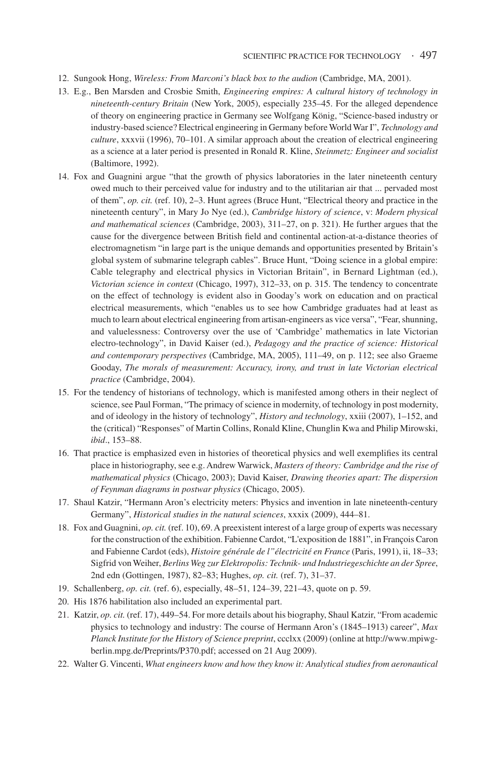- 12. Sungook Hong, *Wireless: From Marconi's black box to the audion* (Cambridge, MA, 2001).
- 13. E.g., Ben Marsden and Crosbie Smith, *Engineering empires: A cultural history of technology in nineteenth-century Britain* (New York, 2005), especially 235–45. For the alleged dependence of theory on engineering practice in Germany see Wolfgang König, "Science-based industry or industry-based science? Electrical engineering in Germany before World War I", *Technology and culture*, xxxvii (1996), 70–101. A similar approach about the creation of electrical engineering as a science at a later period is presented in Ronald R. Kline, *Steinmetz: Engineer and socialist* (Baltimore, 1992).
- 14. Fox and Guagnini argue "that the growth of physics laboratories in the later nineteenth century owed much to their perceived value for industry and to the utilitarian air that ... pervaded most of them", *op. cit.* (ref. 10), 2–3. Hunt agrees (Bruce Hunt, "Electrical theory and practice in the nineteenth century", in Mary Jo Nye (ed.), *Cambridge history of science*, v: *Modern physical and mathematical sciences* (Cambridge, 2003), 311–27, on p. 321). He further argues that the cause for the divergence between British field and continental action-at-a-distance theories of electromagnetism "in large part is the unique demands and opportunities presented by Britain's global system of submarine telegraph cables". Bruce Hunt, "Doing science in a global empire: Cable telegraphy and electrical physics in Victorian Britain", in Bernard Lightman (ed.), *Victorian science in context* (Chicago, 1997), 312–33, on p. 315. The tendency to concentrate on the effect of technology is evident also in Gooday's work on education and on practical electrical measurements, which "enables us to see how Cambridge graduates had at least as much to learn about electrical engineering from artisan-engineers as vice versa", "Fear, shunning, and valuelessness: Controversy over the use of 'Cambridge' mathematics in late Victorian electro-technology", in David Kaiser (ed.), *Pedagogy and the practice of science: Historical and contemporary perspectives* (Cambridge, MA, 2005), 111–49, on p. 112; see also Graeme Gooday, *The morals of measurement: Accuracy, irony, and trust in late Victorian electrical practice* (Cambridge, 2004).
- 15. For the tendency of historians of technology, which is manifested among others in their neglect of science, see Paul Forman, "The primacy of science in modernity, of technology in post modernity, and of ideology in the history of technology", *History and technology*, xxiii (2007), 1–152, and the (critical) "Responses" of Martin Collins, Ronald Kline, Chunglin Kwa and Philip Mirowski, *ibid*., 153–88.
- 16. That practice is emphasized even in histories of theoretical physics and well exemplifies its central place in historiography, see e.g. Andrew Warwick, *Masters of theory: Cambridge and the rise of mathematical physics* (Chicago, 2003); David Kaiser, *Drawing theories apart: The dispersion of Feynman diagrams in postwar physics* (Chicago, 2005).
- 17. Shaul Katzir, "Hermann Aron's electricity meters: Physics and invention in late nineteenth-century Germany", *Historical studies in the natural sciences*, xxxix (2009), 444–81.
- 18. Fox and Guagnini, *op. cit.* (ref. 10), 69. A preexistent interest of a large group of experts was necessary for the construction of the exhibition. Fabienne Cardot, "L'exposition de 1881", in François Caron and Fabienne Cardot (eds), *Histoire générale de l"électricité en France* (Paris, 1991), ii, 18–33; Sigfrid von Weiher, *Berlins Weg zur Elektropolis: Technik- und Industriegeschichte an der Spree*, 2nd edn (Gottingen, 1987), 82–83; Hughes, *op. cit.* (ref. 7), 31–37.
- 19. Schallenberg, *op. cit.* (ref. 6), especially, 48–51, 124–39, 221–43, quote on p. 59.
- 20. His 1876 habilitation also included an experimental part.
- 21. Katzir, *op. cit.* (ref. 17), 449–54. For more details about his biography, Shaul Katzir, "From academic physics to technology and industry: The course of Hermann Aron's (1845–1913) career", *Max Planck Institute for the History of Science preprint*, ccclxx (2009) (online at http://www.mpiwgberlin.mpg.de/Preprints/P370.pdf; accessed on 21 Aug 2009).
- 22. Walter G. Vincenti, *What engineers know and how they know it: Analytical studies from aeronautical*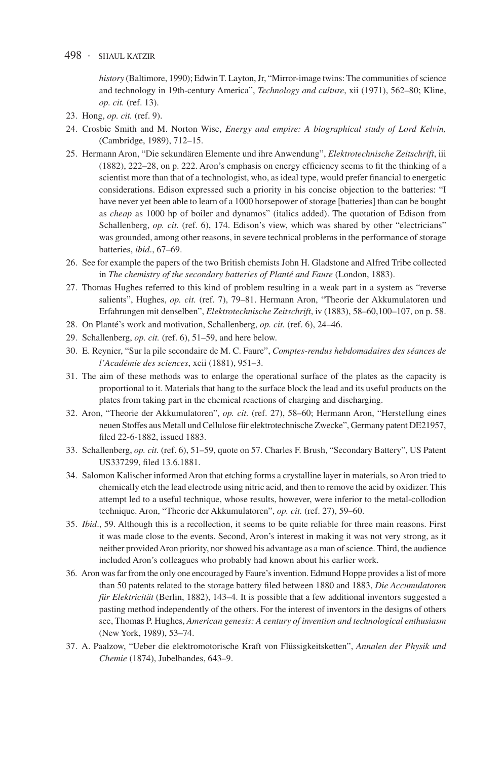*history* (Baltimore, 1990); Edwin T. Layton, Jr, "Mirror-image twins: The communities of science and technology in 19th-century America", *Technology and culture*, xii (1971), 562–80; Kline, *op. cit.* (ref. 13).

- 23. Hong, *op. cit.* (ref. 9).
- 24. Crosbie Smith and M. Norton Wise, *Energy and empire: A biographical study of Lord Kelvin,* (Cambridge, 1989), 712–15.
- 25. Hermann Aron, "Die sekundären Elemente und ihre Anwendung", *Elektrotechnische Zeitschrift*, iii (1882), 222–28, on p. 222. Aron's emphasis on energy efficiency seems to fit the thinking of a scientist more than that of a technologist, who, as ideal type, would prefer financial to energetic considerations. Edison expressed such a priority in his concise objection to the batteries: "I have never yet been able to learn of a 1000 horsepower of storage [batteries] than can be bought as *cheap* as 1000 hp of boiler and dynamos" (italics added). The quotation of Edison from Schallenberg, *op. cit.* (ref. 6), 174. Edison's view, which was shared by other "electricians" was grounded, among other reasons, in severe technical problems in the performance of storage batteries, *ibid*., 67–69.
- 26. See for example the papers of the two British chemists John H. Gladstone and Alfred Tribe collected in *The chemistry of the secondary batteries of Planté and Faure* (London, 1883).
- 27. Thomas Hughes referred to this kind of problem resulting in a weak part in a system as "reverse salients", Hughes, op. cit. (ref. 7), 79-81. Hermann Aron, "Theorie der Akkumulatoren und Erfahrungen mit denselben", *Elektrotechnische Zeitschrift*, iv (1883), 58–60,100–107, on p. 58.
- 28. On Planté's work and motivation, Schallenberg, *op. cit.* (ref. 6), 24–46.
- 29. Schallenberg, *op. cit.* (ref. 6), 51–59, and here below.
- 30. E. Reynier, "Sur la pile secondaire de M. C. Faure", *Comptes-rendus hebdomadaires des séances de l'Académie des sciences*, xcii (1881), 951–3.
- 31. The aim of these methods was to enlarge the operational surface of the plates as the capacity is proportional to it. Materials that hang to the surface block the lead and its useful products on the plates from taking part in the chemical reactions of charging and discharging.
- 32. Aron, "Theorie der Akkumulatoren", *op. cit.* (ref. 27), 58–60; Hermann Aron, "Herstellung eines neuen Stoffes aus Metall und Cellulose für elektrotechnische Zwecke", Germany patent DE21957, filed 22-6-1882, issued 1883.
- 33. Schallenberg, *op. cit.* (ref. 6), 51–59, quote on 57. Charles F. Brush, "Secondary Battery", US Patent US337299, filed 13.6.1881.
- 34. Salomon Kalischer informed Aron that etching forms a crystalline layer in materials, so Aron tried to chemically etch the lead electrode using nitric acid, and then to remove the acid by oxidizer. This attempt led to a useful technique, whose results, however, were inferior to the metal-collodion technique. Aron, "Theorie der Akkumulatoren", *op. cit.* (ref. 27), 59–60.
- 35. *Ibid*., 59. Although this is a recollection, it seems to be quite reliable for three main reasons. First it was made close to the events. Second, Aron's interest in making it was not very strong, as it neither provided Aron priority, nor showed his advantage as a man of science. Third, the audience included Aron's colleagues who probably had known about his earlier work.
- 36. Aron was far from the only one encouraged by Faure's invention. Edmund Hoppe provides a list of more than 50 patents related to the storage battery filed between 1880 and 1883, *Die Accumulatoren für Elektricität* (Berlin, 1882), 143–4. It is possible that a few additional inventors suggested a pasting method independently of the others. For the interest of inventors in the designs of others see, Thomas P. Hughes, *American genesis: A century of invention and technological enthusiasm* (New York, 1989), 53–74.
- 37. A. Paalzow, "Ueber die elektromotorische Kraft von Flüssigkeitsketten", *Annalen der Physik und Chemie* (1874), Jubelbandes, 643–9.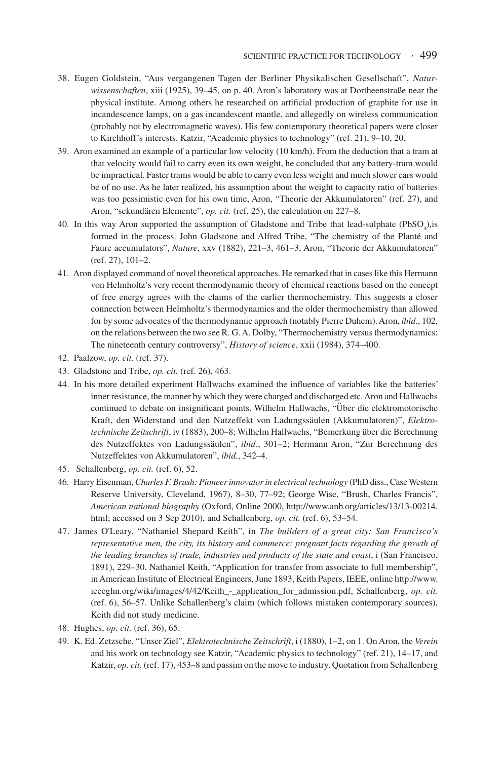- 38. Eugen Goldstein, "Aus vergangenen Tagen der Berliner Physikalischen Gesellschaft", *Naturwissenschaften*, xiii (1925), 39–45, on p. 40. Aron's laboratory was at Dortheenstraße near the physical institute. Among others he researched on artificial production of graphite for use in incandescence lamps, on a gas incandescent mantle, and allegedly on wireless communication (probably not by electromagnetic waves). His few contemporary theoretical papers were closer to Kirchhoff's interests. Katzir, "Academic physics to technology" (ref. 21), 9–10, 20.
- 39. Aron examined an example of a particular low velocity (10 km/h). From the deduction that a tram at that velocity would fail to carry even its own weight, he concluded that any battery-tram would be impractical. Faster trams would be able to carry even less weight and much slower cars would be of no use. As he later realized, his assumption about the weight to capacity ratio of batteries was too pessimistic even for his own time, Aron, "Theorie der Akkumulatoren" (ref. 27), and Aron, "sekundären Elemente", *op. cit.* (ref. 25), the calculation on 227–8.
- 40. In this way Aron supported the assumption of Gladstone and Tribe that lead-sulphate  $(PbSO_4)$ , is formed in the process. John Gladstone and Alfred Tribe, "The chemistry of the Planté and Faure accumulators", *Nature*, xxv (1882), 221–3, 461–3, Aron, "Theorie der Akkumulatoren" (ref. 27), 101–2.
- 41. Aron displayed command of novel theoretical approaches. He remarked that in cases like this Hermann von Helmholtz's very recent thermodynamic theory of chemical reactions based on the concept of free energy agrees with the claims of the earlier thermochemistry. This suggests a closer connection between Helmholtz's thermodynamics and the older thermochemistry than allowed for by some advocates of the thermodynamic approach (notably Pierre Duhem). Aron, *ibid*., 102, on the relations between the two see R. G. A. Dolby, "Thermochemistry versus thermodynamics: The nineteenth century controversy", *History of science*, xxii (1984), 374–400.
- 42. Paalzow, *op. cit.* (ref. 37).
- 43. Gladstone and Tribe, *op. cit.* (ref. 26), 463.
- 44. In his more detailed experiment Hallwachs examined the influence of variables like the batteries' inner resistance, the manner by which they were charged and discharged etc. Aron and Hallwachs continued to debate on insignificant points. Wilhelm Hallwachs, "Über die elektromotorische Kraft, den Widerstand und den Nutzeffekt von Ladungssäulen (Akkumulatoren)", *Elektrotechnische Zeitschrift*, iv (1883), 200–8; Wilhelm Hallwachs, "Bemerkung über die Berechnung des Nutzeffektes von Ladungssäulen", *ibid.*, 301–2; Hermann Aron, "Zur Berechnung des Nutzeffektes von Akkumulatoren", *ibid.*, 342–4.
- 45. Schallenberg, *op. cit.* (ref. 6), 52.
- 46. Harry Eisenman, *Charles F. Brush: Pioneer innovator in electrical technology* (PhD diss., Case Western Reserve University, Cleveland, 1967), 8–30, 77–92; George Wise, "Brush, Charles Francis", *American national biography* (Oxford, Online 2000, http://www.anb.org/articles/13/13-00214. html; accessed on 3 Sep 2010), and Schallenberg, *op. cit.* (ref. 6), 53–54.
- 47. James O'Leary, "Nathaniel Shepard Keith", in *The builders of a great city: San Francisco's representative men, the city, its history and commerce: pregnant facts regarding the growth of the leading branches of trade, industries and products of the state and coast*, i (San Francisco, 1891), 229–30. Nathaniel Keith, "Application for transfer from associate to full membership", in American Institute of Electrical Engineers, June 1893, Keith Papers, IEEE, online http://www. ieeeghn.org/wiki/images/4/42/Keith\_-\_application\_for\_admission.pdf, Schallenberg, *op. cit.* (ref. 6), 56–57. Unlike Schallenberg's claim (which follows mistaken contemporary sources), Keith did not study medicine.
- 48. Hughes, *op. cit.* (ref. 36), 65.
- 49. K. Ed. Zetzsche, "Unser Ziel", *Elektrotechnische Zeitschrift*, i (1880), 1–2, on 1. On Aron, the *Verein* and his work on technology see Katzir, "Academic physics to technology" (ref. 21), 14–17, and Katzir, *op. cit.* (ref. 17), 453–8 and passim on the move to industry. Quotation from Schallenberg